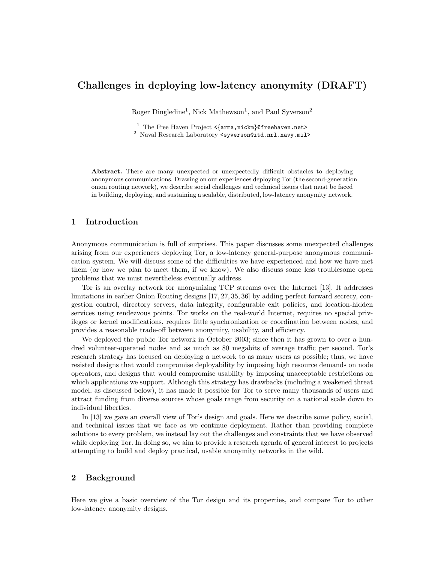# Challenges in deploying low-latency anonymity (DRAFT)

Roger Dingledine<sup>1</sup>, Nick Mathewson<sup>1</sup>, and Paul Syverson<sup>2</sup>

<sup>1</sup> The Free Haven Project  $\langle \{arma,nickm\}$ @freehaven.net> <sup>2</sup> Naval Research Laboratory <syverson@itd.nrl.navy.mil>

Abstract. There are many unexpected or unexpectedly difficult obstacles to deploying anonymous communications. Drawing on our experiences deploying Tor (the second-generation onion routing network), we describe social challenges and technical issues that must be faced in building, deploying, and sustaining a scalable, distributed, low-latency anonymity network.

# 1 Introduction

Anonymous communication is full of surprises. This paper discusses some unexpected challenges arising from our experiences deploying Tor, a low-latency general-purpose anonymous communication system. We will discuss some of the difficulties we have experienced and how we have met them (or how we plan to meet them, if we know). We also discuss some less troublesome open problems that we must nevertheless eventually address.

Tor is an overlay network for anonymizing TCP streams over the Internet [13]. It addresses limitations in earlier Onion Routing designs [17, 27, 35, 36] by adding perfect forward secrecy, congestion control, directory servers, data integrity, configurable exit policies, and location-hidden services using rendezvous points. Tor works on the real-world Internet, requires no special privileges or kernel modifications, requires little synchronization or coordination between nodes, and provides a reasonable trade-off between anonymity, usability, and efficiency.

We deployed the public Tor network in October 2003; since then it has grown to over a hundred volunteer-operated nodes and as much as 80 megabits of average traffic per second. Tor's research strategy has focused on deploying a network to as many users as possible; thus, we have resisted designs that would compromise deployability by imposing high resource demands on node operators, and designs that would compromise usability by imposing unacceptable restrictions on which applications we support. Although this strategy has drawbacks (including a weakened threat model, as discussed below), it has made it possible for Tor to serve many thousands of users and attract funding from diverse sources whose goals range from security on a national scale down to individual liberties.

In [13] we gave an overall view of Tor's design and goals. Here we describe some policy, social, and technical issues that we face as we continue deployment. Rather than providing complete solutions to every problem, we instead lay out the challenges and constraints that we have observed while deploying Tor. In doing so, we aim to provide a research agenda of general interest to projects attempting to build and deploy practical, usable anonymity networks in the wild.

# 2 Background

Here we give a basic overview of the Tor design and its properties, and compare Tor to other low-latency anonymity designs.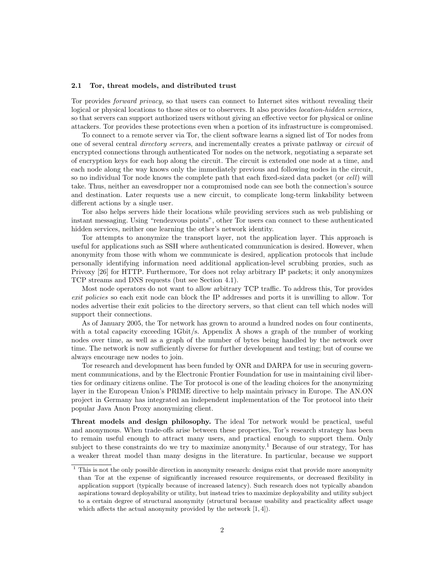#### 2.1 Tor, threat models, and distributed trust

Tor provides forward privacy, so that users can connect to Internet sites without revealing their logical or physical locations to those sites or to observers. It also provides *location-hidden services*, so that servers can support authorized users without giving an effective vector for physical or online attackers. Tor provides these protections even when a portion of its infrastructure is compromised.

To connect to a remote server via Tor, the client software learns a signed list of Tor nodes from one of several central directory servers, and incrementally creates a private pathway or circuit of encrypted connections through authenticated Tor nodes on the network, negotiating a separate set of encryption keys for each hop along the circuit. The circuit is extended one node at a time, and each node along the way knows only the immediately previous and following nodes in the circuit, so no individual Tor node knows the complete path that each fixed-sized data packet (or cell) will take. Thus, neither an eavesdropper nor a compromised node can see both the connection's source and destination. Later requests use a new circuit, to complicate long-term linkability between different actions by a single user.

Tor also helps servers hide their locations while providing services such as web publishing or instant messaging. Using "rendezvous points", other Tor users can connect to these authenticated hidden services, neither one learning the other's network identity.

Tor attempts to anonymize the transport layer, not the application layer. This approach is useful for applications such as SSH where authenticated communication is desired. However, when anonymity from those with whom we communicate is desired, application protocols that include personally identifying information need additional application-level scrubbing proxies, such as Privoxy [26] for HTTP. Furthermore, Tor does not relay arbitrary IP packets; it only anonymizes TCP streams and DNS requests (but see Section 4.1).

Most node operators do not want to allow arbitrary TCP traffic. To address this, Tor provides exit policies so each exit node can block the IP addresses and ports it is unwilling to allow. Tor nodes advertise their exit policies to the directory servers, so that client can tell which nodes will support their connections.

As of January 2005, the Tor network has grown to around a hundred nodes on four continents, with a total capacity exceeding 1Gbit/s. Appendix A shows a graph of the number of working nodes over time, as well as a graph of the number of bytes being handled by the network over time. The network is now sufficiently diverse for further development and testing; but of course we always encourage new nodes to join.

Tor research and development has been funded by ONR and DARPA for use in securing government communications, and by the Electronic Frontier Foundation for use in maintaining civil liberties for ordinary citizens online. The Tor protocol is one of the leading choices for the anonymizing layer in the European Union's PRIME directive to help maintain privacy in Europe. The AN.ON project in Germany has integrated an independent implementation of the Tor protocol into their popular Java Anon Proxy anonymizing client.

Threat models and design philosophy. The ideal Tor network would be practical, useful and anonymous. When trade-offs arise between these properties, Tor's research strategy has been to remain useful enough to attract many users, and practical enough to support them. Only subject to these constraints do we try to maximize anonymity.<sup>1</sup> Because of our strategy, Tor has a weaker threat model than many designs in the literature. In particular, because we support

<sup>1</sup> This is not the only possible direction in anonymity research: designs exist that provide more anonymity than Tor at the expense of significantly increased resource requirements, or decreased flexibility in application support (typically because of increased latency). Such research does not typically abandon aspirations toward deployability or utility, but instead tries to maximize deployability and utility subject to a certain degree of structural anonymity (structural because usability and practicality affect usage which affects the actual anonymity provided by the network  $[1, 4]$ .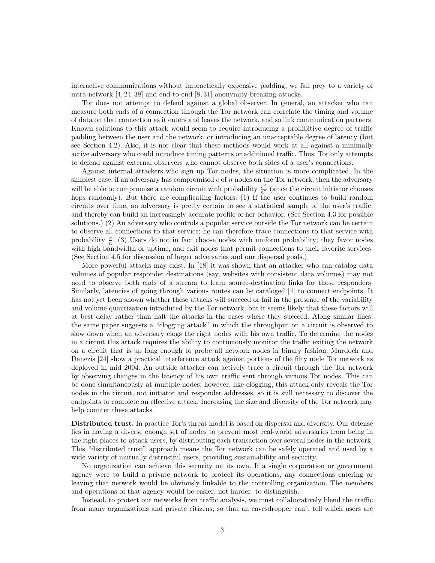interactive communications without impractically expensive padding, we fall prey to a variety of intra-network [4, 24, 38] and end-to-end [8, 31] anonymity-breaking attacks.

Tor does not attempt to defend against a global observer. In general, an attacker who can measure both ends of a connection through the Tor network can correlate the timing and volume of data on that connection as it enters and leaves the network, and so link communication partners. Known solutions to this attack would seem to require introducing a prohibitive degree of traffic padding between the user and the network, or introducing an unacceptable degree of latency (but see Section 4.2). Also, it is not clear that these methods would work at all against a minimally active adversary who could introduce timing patterns or additional traffic. Thus, Tor only attempts to defend against external observers who cannot observe both sides of a user's connections.

Against internal attackers who sign up Tor nodes, the situation is more complicated. In the simplest case, if an adversary has compromised  $c$  of  $n$  nodes on the Tor network, then the adversary will be able to compromise a random circuit with probability  $\frac{c^2}{n^2}$  (since the circuit initiator chooses hops randomly). But there are complicating factors: (1) If the user continues to build random circuits over time, an adversary is pretty certain to see a statistical sample of the user's traffic, and thereby can build an increasingly accurate profile of her behavior. (See Section 4.3 for possible solutions.) (2) An adversary who controls a popular service outside the Tor network can be certain to observe all connections to that service; he can therefore trace connections to that service with probability  $\frac{c}{n}$ . (3) Users do not in fact choose nodes with uniform probability; they favor nodes with high bandwidth or uptime, and exit nodes that permit connections to their favorite services. (See Section 4.5 for discussion of larger adversaries and our dispersal goals.)

More powerful attacks may exist. In [18] it was shown that an attacker who can catalog data volumes of popular responder destinations (say, websites with consistent data volumes) may not need to observe both ends of a stream to learn source-destination links for those responders. Similarly, latencies of going through various routes can be cataloged [4] to connect endpoints. It has not yet been shown whether these attacks will succeed or fail in the presence of the variability and volume quantization introduced by the Tor network, but it seems likely that these factors will at best delay rather than halt the attacks in the cases where they succeed. Along similar lines, the same paper suggests a "clogging attack" in which the throughput on a circuit is observed to slow down when an adversary clogs the right nodes with his own traffic. To determine the nodes in a circuit this attack requires the ability to continuously monitor the traffic exiting the network on a circuit that is up long enough to probe all network nodes in binary fashion. Murdoch and Danezis [24] show a practical interference attack against portions of the fifty node Tor network as deployed in mid 2004. An outside attacker can actively trace a circuit through the Tor network by observing changes in the latency of his own traffic sent through various Tor nodes. This can be done simultaneously at multiple nodes; however, like clogging, this attack only reveals the Tor nodes in the circuit, not initiator and responder addresses, so it is still necessary to discover the endpoints to complete an effective attack. Increasing the size and diversity of the Tor network may help counter these attacks.

Distributed trust. In practice Tor's threat model is based on dispersal and diversity. Our defense lies in having a diverse enough set of nodes to prevent most real-world adversaries from being in the right places to attack users, by distributing each transaction over several nodes in the network. This "distributed trust" approach means the Tor network can be safely operated and used by a wide variety of mutually distrustful users, providing sustainability and security.

No organization can achieve this security on its own. If a single corporation or government agency were to build a private network to protect its operations, any connections entering or leaving that network would be obviously linkable to the controlling organization. The members and operations of that agency would be easier, not harder, to distinguish.

Instead, to protect our networks from traffic analysis, we must collaboratively blend the traffic from many organizations and private citizens, so that an eavesdropper can't tell which users are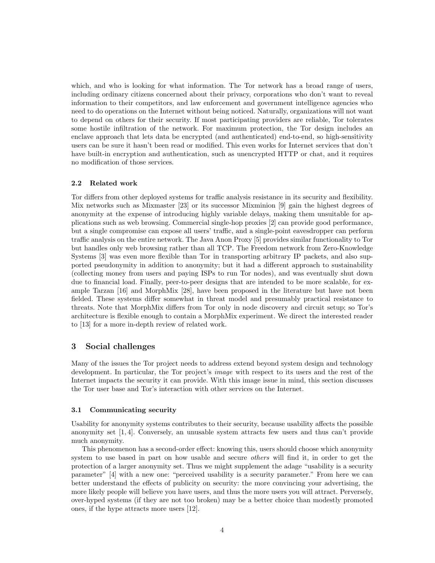which, and who is looking for what information. The Tor network has a broad range of users, including ordinary citizens concerned about their privacy, corporations who don't want to reveal information to their competitors, and law enforcement and government intelligence agencies who need to do operations on the Internet without being noticed. Naturally, organizations will not want to depend on others for their security. If most participating providers are reliable, Tor tolerates some hostile infiltration of the network. For maximum protection, the Tor design includes an enclave approach that lets data be encrypted (and authenticated) end-to-end, so high-sensitivity users can be sure it hasn't been read or modified. This even works for Internet services that don't have built-in encryption and authentication, such as unencrypted HTTP or chat, and it requires no modification of those services.

# 2.2 Related work

Tor differs from other deployed systems for traffic analysis resistance in its security and flexibility. Mix networks such as Mixmaster [23] or its successor Mixminion [9] gain the highest degrees of anonymity at the expense of introducing highly variable delays, making them unsuitable for applications such as web browsing. Commercial single-hop proxies [2] can provide good performance, but a single compromise can expose all users' traffic, and a single-point eavesdropper can perform traffic analysis on the entire network. The Java Anon Proxy [5] provides similar functionality to Tor but handles only web browsing rather than all TCP. The Freedom network from Zero-Knowledge Systems [3] was even more flexible than Tor in transporting arbitrary IP packets, and also supported pseudonymity in addition to anonymity; but it had a different approach to sustainability (collecting money from users and paying ISPs to run Tor nodes), and was eventually shut down due to financial load. Finally, peer-to-peer designs that are intended to be more scalable, for example Tarzan [16] and MorphMix [28], have been proposed in the literature but have not been fielded. These systems differ somewhat in threat model and presumably practical resistance to threats. Note that MorphMix differs from Tor only in node discovery and circuit setup; so Tor's architecture is flexible enough to contain a MorphMix experiment. We direct the interested reader to [13] for a more in-depth review of related work.

# 3 Social challenges

Many of the issues the Tor project needs to address extend beyond system design and technology development. In particular, the Tor project's *image* with respect to its users and the rest of the Internet impacts the security it can provide. With this image issue in mind, this section discusses the Tor user base and Tor's interaction with other services on the Internet.

### 3.1 Communicating security

Usability for anonymity systems contributes to their security, because usability affects the possible anonymity set [1, 4]. Conversely, an unusable system attracts few users and thus can't provide much anonymity.

This phenomenon has a second-order effect: knowing this, users should choose which anonymity system to use based in part on how usable and secure *others* will find it, in order to get the protection of a larger anonymity set. Thus we might supplement the adage "usability is a security parameter" [4] with a new one: "perceived usability is a security parameter." From here we can better understand the effects of publicity on security: the more convincing your advertising, the more likely people will believe you have users, and thus the more users you will attract. Perversely, over-hyped systems (if they are not too broken) may be a better choice than modestly promoted ones, if the hype attracts more users [12].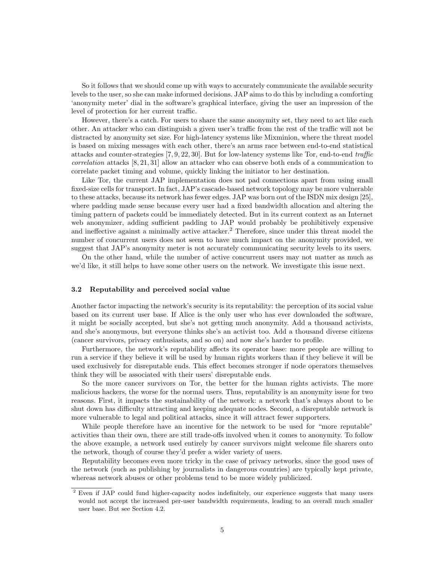So it follows that we should come up with ways to accurately communicate the available security levels to the user, so she can make informed decisions. JAP aims to do this by including a comforting 'anonymity meter' dial in the software's graphical interface, giving the user an impression of the level of protection for her current traffic.

However, there's a catch. For users to share the same anonymity set, they need to act like each other. An attacker who can distinguish a given user's traffic from the rest of the traffic will not be distracted by anonymity set size. For high-latency systems like Mixminion, where the threat model is based on mixing messages with each other, there's an arms race between end-to-end statistical attacks and counter-strategies [7, 9, 22, 30]. But for low-latency systems like Tor, end-to-end traffic correlation attacks [8, 21, 31] allow an attacker who can observe both ends of a communication to correlate packet timing and volume, quickly linking the initiator to her destination.

Like Tor, the current JAP implementation does not pad connections apart from using small fixed-size cells for transport. In fact, JAP's cascade-based network topology may be more vulnerable to these attacks, because its network has fewer edges. JAP was born out of the ISDN mix design [25], where padding made sense because every user had a fixed bandwidth allocation and altering the timing pattern of packets could be immediately detected. But in its current context as an Internet web anonymizer, adding sufficient padding to JAP would probably be prohibitively expensive and ineffective against a minimally active attacker.<sup>2</sup> Therefore, since under this threat model the number of concurrent users does not seem to have much impact on the anonymity provided, we suggest that JAP's anonymity meter is not accurately communicating security levels to its users.

On the other hand, while the number of active concurrent users may not matter as much as we'd like, it still helps to have some other users on the network. We investigate this issue next.

## 3.2 Reputability and perceived social value

Another factor impacting the network's security is its reputability: the perception of its social value based on its current user base. If Alice is the only user who has ever downloaded the software, it might be socially accepted, but she's not getting much anonymity. Add a thousand activists, and she's anonymous, but everyone thinks she's an activist too. Add a thousand diverse citizens (cancer survivors, privacy enthusiasts, and so on) and now she's harder to profile.

Furthermore, the network's reputability affects its operator base: more people are willing to run a service if they believe it will be used by human rights workers than if they believe it will be used exclusively for disreputable ends. This effect becomes stronger if node operators themselves think they will be associated with their users' disreputable ends.

So the more cancer survivors on Tor, the better for the human rights activists. The more malicious hackers, the worse for the normal users. Thus, reputability is an anonymity issue for two reasons. First, it impacts the sustainability of the network: a network that's always about to be shut down has difficulty attracting and keeping adequate nodes. Second, a disreputable network is more vulnerable to legal and political attacks, since it will attract fewer supporters.

While people therefore have an incentive for the network to be used for "more reputable" activities than their own, there are still trade-offs involved when it comes to anonymity. To follow the above example, a network used entirely by cancer survivors might welcome file sharers onto the network, though of course they'd prefer a wider variety of users.

Reputability becomes even more tricky in the case of privacy networks, since the good uses of the network (such as publishing by journalists in dangerous countries) are typically kept private, whereas network abuses or other problems tend to be more widely publicized.

<sup>&</sup>lt;sup>2</sup> Even if JAP could fund higher-capacity nodes indefinitely, our experience suggests that many users would not accept the increased per-user bandwidth requirements, leading to an overall much smaller user base. But see Section 4.2.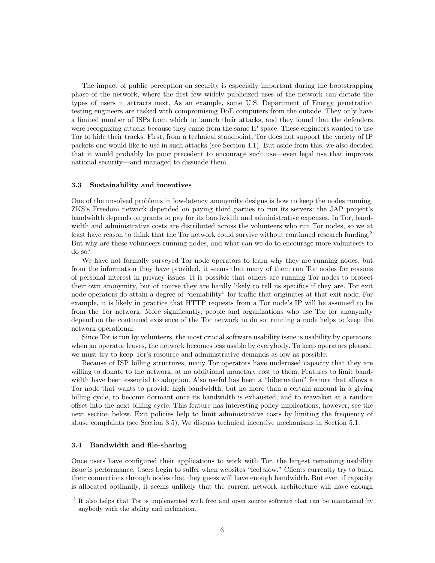The impact of public perception on security is especially important during the bootstrapping phase of the network, where the first few widely publicized uses of the network can dictate the types of users it attracts next. As an example, some U.S. Department of Energy penetration testing engineers are tasked with compromising DoE computers from the outside. They only have a limited number of ISPs from which to launch their attacks, and they found that the defenders were recognizing attacks because they came from the same IP space. These engineers wanted to use Tor to hide their tracks. First, from a technical standpoint, Tor does not support the variety of IP packets one would like to use in such attacks (see Section 4.1). But aside from this, we also decided that it would probably be poor precedent to encourage such use—even legal use that improves national security—and managed to dissuade them.

## 3.3 Sustainability and incentives

One of the unsolved problems in low-latency anonymity designs is how to keep the nodes running. ZKS's Freedom network depended on paying third parties to run its servers; the JAP project's bandwidth depends on grants to pay for its bandwidth and administrative expenses. In Tor, bandwidth and administrative costs are distributed across the volunteers who run Tor nodes, so we at least have reason to think that the Tor network could survive without continued research funding.<sup>3</sup> But why are these volunteers running nodes, and what can we do to encourage more volunteers to do so?

We have not formally surveyed Tor node operators to learn why they are running nodes, but from the information they have provided, it seems that many of them run Tor nodes for reasons of personal interest in privacy issues. It is possible that others are running Tor nodes to protect their own anonymity, but of course they are hardly likely to tell us specifics if they are. Tor exit node operators do attain a degree of "deniability" for traffic that originates at that exit node. For example, it is likely in practice that HTTP requests from a Tor node's IP will be assumed to be from the Tor network. More significantly, people and organizations who use Tor for anonymity depend on the continued existence of the Tor network to do so; running a node helps to keep the network operational.

Since Tor is run by volunteers, the most crucial software usability issue is usability by operators: when an operator leaves, the network becomes less usable by everybody. To keep operators pleased, we must try to keep Tor's resource and administrative demands as low as possible.

Because of ISP billing structures, many Tor operators have underused capacity that they are willing to donate to the network, at no additional monetary cost to them. Features to limit bandwidth have been essential to adoption. Also useful has been a "hibernation" feature that allows a Tor node that wants to provide high bandwidth, but no more than a certain amount in a giving billing cycle, to become dormant once its bandwidth is exhausted, and to reawaken at a random offset into the next billing cycle. This feature has interesting policy implications, however; see the next section below. Exit policies help to limit administrative costs by limiting the frequency of abuse complaints (see Section 3.5). We discuss technical incentive mechanisms in Section 5.1.

# 3.4 Bandwidth and file-sharing

Once users have configured their applications to work with Tor, the largest remaining usability issue is performance. Users begin to suffer when websites "feel slow." Clients currently try to build their connections through nodes that they guess will have enough bandwidth. But even if capacity is allocated optimally, it seems unlikely that the current network architecture will have enough

<sup>&</sup>lt;sup>3</sup> It also helps that Tor is implemented with free and open source software that can be maintained by anybody with the ability and inclination.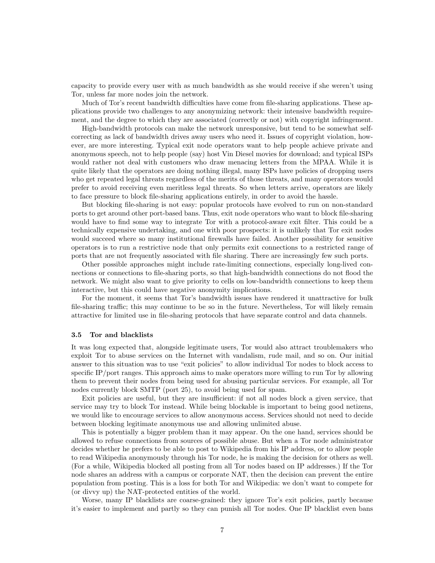capacity to provide every user with as much bandwidth as she would receive if she weren't using Tor, unless far more nodes join the network.

Much of Tor's recent bandwidth difficulties have come from file-sharing applications. These applications provide two challenges to any anonymizing network: their intensive bandwidth requirement, and the degree to which they are associated (correctly or not) with copyright infringement.

High-bandwidth protocols can make the network unresponsive, but tend to be somewhat selfcorrecting as lack of bandwidth drives away users who need it. Issues of copyright violation, however, are more interesting. Typical exit node operators want to help people achieve private and anonymous speech, not to help people (say) host Vin Diesel movies for download; and typical ISPs would rather not deal with customers who draw menacing letters from the MPAA. While it is quite likely that the operators are doing nothing illegal, many ISPs have policies of dropping users who get repeated legal threats regardless of the merits of those threats, and many operators would prefer to avoid receiving even meritless legal threats. So when letters arrive, operators are likely to face pressure to block file-sharing applications entirely, in order to avoid the hassle.

But blocking file-sharing is not easy: popular protocols have evolved to run on non-standard ports to get around other port-based bans. Thus, exit node operators who want to block file-sharing would have to find some way to integrate Tor with a protocol-aware exit filter. This could be a technically expensive undertaking, and one with poor prospects: it is unlikely that Tor exit nodes would succeed where so many institutional firewalls have failed. Another possibility for sensitive operators is to run a restrictive node that only permits exit connections to a restricted range of ports that are not frequently associated with file sharing. There are increasingly few such ports.

Other possible approaches might include rate-limiting connections, especially long-lived connections or connections to file-sharing ports, so that high-bandwidth connections do not flood the network. We might also want to give priority to cells on low-bandwidth connections to keep them interactive, but this could have negative anonymity implications.

For the moment, it seems that Tor's bandwidth issues have rendered it unattractive for bulk file-sharing traffic; this may continue to be so in the future. Nevertheless, Tor will likely remain attractive for limited use in file-sharing protocols that have separate control and data channels.

#### 3.5 Tor and blacklists

It was long expected that, alongside legitimate users, Tor would also attract troublemakers who exploit Tor to abuse services on the Internet with vandalism, rude mail, and so on. Our initial answer to this situation was to use "exit policies" to allow individual Tor nodes to block access to specific IP/port ranges. This approach aims to make operators more willing to run Tor by allowing them to prevent their nodes from being used for abusing particular services. For example, all Tor nodes currently block SMTP (port 25), to avoid being used for spam.

Exit policies are useful, but they are insufficient: if not all nodes block a given service, that service may try to block Tor instead. While being blockable is important to being good netizens, we would like to encourage services to allow anonymous access. Services should not need to decide between blocking legitimate anonymous use and allowing unlimited abuse.

This is potentially a bigger problem than it may appear. On the one hand, services should be allowed to refuse connections from sources of possible abuse. But when a Tor node administrator decides whether he prefers to be able to post to Wikipedia from his IP address, or to allow people to read Wikipedia anonymously through his Tor node, he is making the decision for others as well. (For a while, Wikipedia blocked all posting from all Tor nodes based on IP addresses.) If the Tor node shares an address with a campus or corporate NAT, then the decision can prevent the entire population from posting. This is a loss for both Tor and Wikipedia: we don't want to compete for (or divvy up) the NAT-protected entities of the world.

Worse, many IP blacklists are coarse-grained: they ignore Tor's exit policies, partly because it's easier to implement and partly so they can punish all Tor nodes. One IP blacklist even bans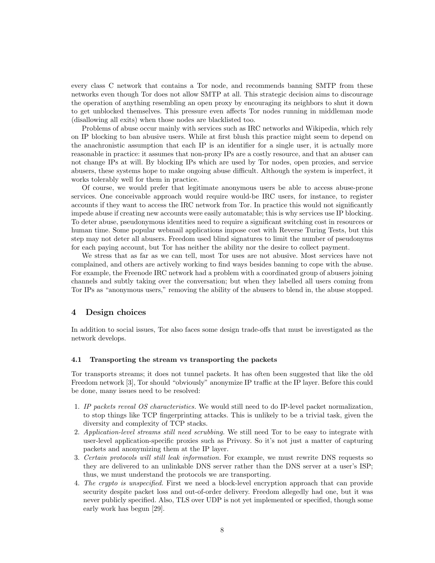every class C network that contains a Tor node, and recommends banning SMTP from these networks even though Tor does not allow SMTP at all. This strategic decision aims to discourage the operation of anything resembling an open proxy by encouraging its neighbors to shut it down to get unblocked themselves. This pressure even affects Tor nodes running in middleman mode (disallowing all exits) when those nodes are blacklisted too.

Problems of abuse occur mainly with services such as IRC networks and Wikipedia, which rely on IP blocking to ban abusive users. While at first blush this practice might seem to depend on the anachronistic assumption that each IP is an identifier for a single user, it is actually more reasonable in practice: it assumes that non-proxy IPs are a costly resource, and that an abuser can not change IPs at will. By blocking IPs which are used by Tor nodes, open proxies, and service abusers, these systems hope to make ongoing abuse difficult. Although the system is imperfect, it works tolerably well for them in practice.

Of course, we would prefer that legitimate anonymous users be able to access abuse-prone services. One conceivable approach would require would-be IRC users, for instance, to register accounts if they want to access the IRC network from Tor. In practice this would not significantly impede abuse if creating new accounts were easily automatable; this is why services use IP blocking. To deter abuse, pseudonymous identities need to require a significant switching cost in resources or human time. Some popular webmail applications impose cost with Reverse Turing Tests, but this step may not deter all abusers. Freedom used blind signatures to limit the number of pseudonyms for each paying account, but Tor has neither the ability nor the desire to collect payment.

We stress that as far as we can tell, most Tor uses are not abusive. Most services have not complained, and others are actively working to find ways besides banning to cope with the abuse. For example, the Freenode IRC network had a problem with a coordinated group of abusers joining channels and subtly taking over the conversation; but when they labelled all users coming from Tor IPs as "anonymous users," removing the ability of the abusers to blend in, the abuse stopped.

# 4 Design choices

In addition to social issues, Tor also faces some design trade-offs that must be investigated as the network develops.

#### 4.1 Transporting the stream vs transporting the packets

Tor transports streams; it does not tunnel packets. It has often been suggested that like the old Freedom network [3], Tor should "obviously" anonymize IP traffic at the IP layer. Before this could be done, many issues need to be resolved:

- 1. IP packets reveal OS characteristics. We would still need to do IP-level packet normalization, to stop things like TCP fingerprinting attacks. This is unlikely to be a trivial task, given the diversity and complexity of TCP stacks.
- 2. Application-level streams still need scrubbing. We still need Tor to be easy to integrate with user-level application-specific proxies such as Privoxy. So it's not just a matter of capturing packets and anonymizing them at the IP layer.
- 3. Certain protocols will still leak information. For example, we must rewrite DNS requests so they are delivered to an unlinkable DNS server rather than the DNS server at a user's ISP; thus, we must understand the protocols we are transporting.
- 4. The crypto is unspecified. First we need a block-level encryption approach that can provide security despite packet loss and out-of-order delivery. Freedom allegedly had one, but it was never publicly specified. Also, TLS over UDP is not yet implemented or specified, though some early work has begun [29].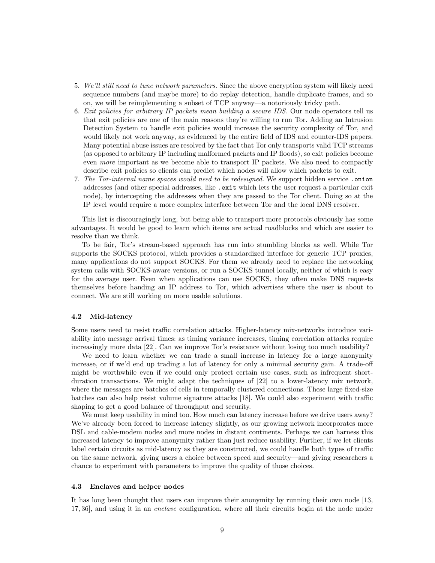- 5. We'll still need to tune network parameters. Since the above encryption system will likely need sequence numbers (and maybe more) to do replay detection, handle duplicate frames, and so on, we will be reimplementing a subset of TCP anyway—a notoriously tricky path.
- 6. Exit policies for arbitrary IP packets mean building a secure IDS. Our node operators tell us that exit policies are one of the main reasons they're willing to run Tor. Adding an Intrusion Detection System to handle exit policies would increase the security complexity of Tor, and would likely not work anyway, as evidenced by the entire field of IDS and counter-IDS papers. Many potential abuse issues are resolved by the fact that Tor only transports valid TCP streams (as opposed to arbitrary IP including malformed packets and IP floods), so exit policies become even more important as we become able to transport IP packets. We also need to compactly describe exit policies so clients can predict which nodes will allow which packets to exit.
- 7. The Tor-internal name spaces would need to be redesigned. We support hidden service .onion addresses (and other special addresses, like .exit which lets the user request a particular exit node), by intercepting the addresses when they are passed to the Tor client. Doing so at the IP level would require a more complex interface between Tor and the local DNS resolver.

This list is discouragingly long, but being able to transport more protocols obviously has some advantages. It would be good to learn which items are actual roadblocks and which are easier to resolve than we think.

To be fair, Tor's stream-based approach has run into stumbling blocks as well. While Tor supports the SOCKS protocol, which provides a standardized interface for generic TCP proxies, many applications do not support SOCKS. For them we already need to replace the networking system calls with SOCKS-aware versions, or run a SOCKS tunnel locally, neither of which is easy for the average user. Even when applications can use SOCKS, they often make DNS requests themselves before handing an IP address to Tor, which advertises where the user is about to connect. We are still working on more usable solutions.

## 4.2 Mid-latency

Some users need to resist traffic correlation attacks. Higher-latency mix-networks introduce variability into message arrival times: as timing variance increases, timing correlation attacks require increasingly more data [22]. Can we improve Tor's resistance without losing too much usability?

We need to learn whether we can trade a small increase in latency for a large anonymity increase, or if we'd end up trading a lot of latency for only a minimal security gain. A trade-off might be worthwhile even if we could only protect certain use cases, such as infrequent shortduration transactions. We might adapt the techniques of [22] to a lower-latency mix network, where the messages are batches of cells in temporally clustered connections. These large fixed-size batches can also help resist volume signature attacks [18]. We could also experiment with traffic shaping to get a good balance of throughput and security.

We must keep usability in mind too. How much can latency increase before we drive users away? We've already been forced to increase latency slightly, as our growing network incorporates more DSL and cable-modem nodes and more nodes in distant continents. Perhaps we can harness this increased latency to improve anonymity rather than just reduce usability. Further, if we let clients label certain circuits as mid-latency as they are constructed, we could handle both types of traffic on the same network, giving users a choice between speed and security—and giving researchers a chance to experiment with parameters to improve the quality of those choices.

# 4.3 Enclaves and helper nodes

It has long been thought that users can improve their anonymity by running their own node [13, 17, 36], and using it in an enclave configuration, where all their circuits begin at the node under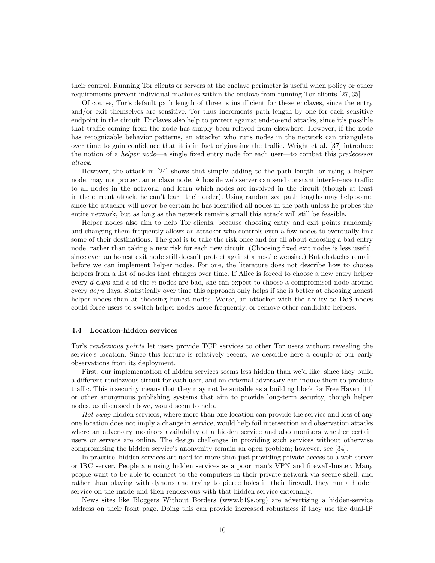their control. Running Tor clients or servers at the enclave perimeter is useful when policy or other requirements prevent individual machines within the enclave from running Tor clients [27, 35].

Of course, Tor's default path length of three is insufficient for these enclaves, since the entry and/or exit themselves are sensitive. Tor thus increments path length by one for each sensitive endpoint in the circuit. Enclaves also help to protect against end-to-end attacks, since it's possible that traffic coming from the node has simply been relayed from elsewhere. However, if the node has recognizable behavior patterns, an attacker who runs nodes in the network can triangulate over time to gain confidence that it is in fact originating the traffic. Wright et al. [37] introduce the notion of a *helper node*—a single fixed entry node for each user—to combat this *predecessor* attack.

However, the attack in [24] shows that simply adding to the path length, or using a helper node, may not protect an enclave node. A hostile web server can send constant interference traffic to all nodes in the network, and learn which nodes are involved in the circuit (though at least in the current attack, he can't learn their order). Using randomized path lengths may help some, since the attacker will never be certain he has identified all nodes in the path unless he probes the entire network, but as long as the network remains small this attack will still be feasible.

Helper nodes also aim to help Tor clients, because choosing entry and exit points randomly and changing them frequently allows an attacker who controls even a few nodes to eventually link some of their destinations. The goal is to take the risk once and for all about choosing a bad entry node, rather than taking a new risk for each new circuit. (Choosing fixed exit nodes is less useful, since even an honest exit node still doesn't protect against a hostile website.) But obstacles remain before we can implement helper nodes. For one, the literature does not describe how to choose helpers from a list of nodes that changes over time. If Alice is forced to choose a new entry helper every d days and c of the n nodes are bad, she can expect to choose a compromised node around every  $dc/n$  days. Statistically over time this approach only helps if she is better at choosing honest helper nodes than at choosing honest nodes. Worse, an attacker with the ability to DoS nodes could force users to switch helper nodes more frequently, or remove other candidate helpers.

### 4.4 Location-hidden services

Tor's rendezvous points let users provide TCP services to other Tor users without revealing the service's location. Since this feature is relatively recent, we describe here a couple of our early observations from its deployment.

First, our implementation of hidden services seems less hidden than we'd like, since they build a different rendezvous circuit for each user, and an external adversary can induce them to produce traffic. This insecurity means that they may not be suitable as a building block for Free Haven [11] or other anonymous publishing systems that aim to provide long-term security, though helper nodes, as discussed above, would seem to help.

Hot-swap hidden services, where more than one location can provide the service and loss of any one location does not imply a change in service, would help foil intersection and observation attacks where an adversary monitors availability of a hidden service and also monitors whether certain users or servers are online. The design challenges in providing such services without otherwise compromising the hidden service's anonymity remain an open problem; however, see [34].

In practice, hidden services are used for more than just providing private access to a web server or IRC server. People are using hidden services as a poor man's VPN and firewall-buster. Many people want to be able to connect to the computers in their private network via secure shell, and rather than playing with dyndns and trying to pierce holes in their firewall, they run a hidden service on the inside and then rendezvous with that hidden service externally.

News sites like Bloggers Without Borders (www.b19s.org) are advertising a hidden-service address on their front page. Doing this can provide increased robustness if they use the dual-IP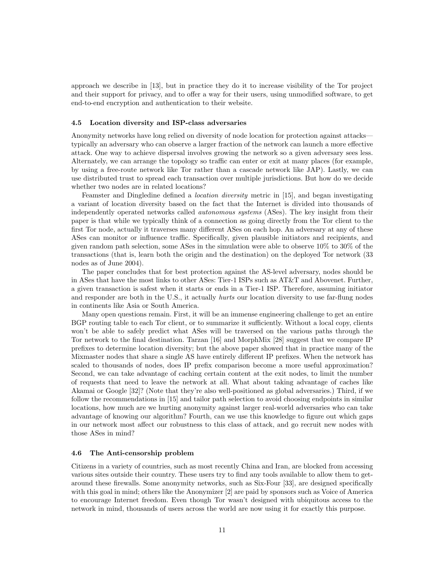approach we describe in [13], but in practice they do it to increase visibility of the Tor project and their support for privacy, and to offer a way for their users, using unmodified software, to get end-to-end encryption and authentication to their website.

## 4.5 Location diversity and ISP-class adversaries

Anonymity networks have long relied on diversity of node location for protection against attacks typically an adversary who can observe a larger fraction of the network can launch a more effective attack. One way to achieve dispersal involves growing the network so a given adversary sees less. Alternately, we can arrange the topology so traffic can enter or exit at many places (for example, by using a free-route network like Tor rather than a cascade network like JAP). Lastly, we can use distributed trust to spread each transaction over multiple jurisdictions. But how do we decide whether two nodes are in related locations?

Feamster and Dingledine defined a location diversity metric in [15], and began investigating a variant of location diversity based on the fact that the Internet is divided into thousands of independently operated networks called *autonomous systems* (ASes). The key insight from their paper is that while we typically think of a connection as going directly from the Tor client to the first Tor node, actually it traverses many different ASes on each hop. An adversary at any of these ASes can monitor or influence traffic. Specifically, given plausible initiators and recipients, and given random path selection, some ASes in the simulation were able to observe 10% to 30% of the transactions (that is, learn both the origin and the destination) on the deployed Tor network (33 nodes as of June 2004).

The paper concludes that for best protection against the AS-level adversary, nodes should be in ASes that have the most links to other ASes: Tier-1 ISPs such as AT&T and Abovenet. Further, a given transaction is safest when it starts or ends in a Tier-1 ISP. Therefore, assuming initiator and responder are both in the U.S., it actually *hurts* our location diversity to use far-flung nodes in continents like Asia or South America.

Many open questions remain. First, it will be an immense engineering challenge to get an entire BGP routing table to each Tor client, or to summarize it sufficiently. Without a local copy, clients won't be able to safely predict what ASes will be traversed on the various paths through the Tor network to the final destination. Tarzan [16] and MorphMix [28] suggest that we compare IP prefixes to determine location diversity; but the above paper showed that in practice many of the Mixmaster nodes that share a single AS have entirely different IP prefixes. When the network has scaled to thousands of nodes, does IP prefix comparison become a more useful approximation? Second, we can take advantage of caching certain content at the exit nodes, to limit the number of requests that need to leave the network at all. What about taking advantage of caches like Akamai or Google [32]? (Note that they're also well-positioned as global adversaries.) Third, if we follow the recommendations in [15] and tailor path selection to avoid choosing endpoints in similar locations, how much are we hurting anonymity against larger real-world adversaries who can take advantage of knowing our algorithm? Fourth, can we use this knowledge to figure out which gaps in our network most affect our robustness to this class of attack, and go recruit new nodes with those ASes in mind?

## 4.6 The Anti-censorship problem

Citizens in a variety of countries, such as most recently China and Iran, are blocked from accessing various sites outside their country. These users try to find any tools available to allow them to getaround these firewalls. Some anonymity networks, such as Six-Four [33], are designed specifically with this goal in mind; others like the Anonymizer [2] are paid by sponsors such as Voice of America to encourage Internet freedom. Even though Tor wasn't designed with ubiquitous access to the network in mind, thousands of users across the world are now using it for exactly this purpose.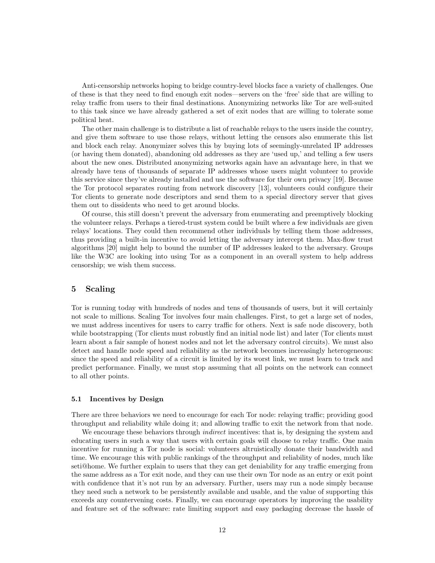Anti-censorship networks hoping to bridge country-level blocks face a variety of challenges. One of these is that they need to find enough exit nodes—servers on the 'free' side that are willing to relay traffic from users to their final destinations. Anonymizing networks like Tor are well-suited to this task since we have already gathered a set of exit nodes that are willing to tolerate some political heat.

The other main challenge is to distribute a list of reachable relays to the users inside the country, and give them software to use those relays, without letting the censors also enumerate this list and block each relay. Anonymizer solves this by buying lots of seemingly-unrelated IP addresses (or having them donated), abandoning old addresses as they are 'used up,' and telling a few users about the new ones. Distributed anonymizing networks again have an advantage here, in that we already have tens of thousands of separate IP addresses whose users might volunteer to provide this service since they've already installed and use the software for their own privacy [19]. Because the Tor protocol separates routing from network discovery [13], volunteers could configure their Tor clients to generate node descriptors and send them to a special directory server that gives them out to dissidents who need to get around blocks.

Of course, this still doesn't prevent the adversary from enumerating and preemptively blocking the volunteer relays. Perhaps a tiered-trust system could be built where a few individuals are given relays' locations. They could then recommend other individuals by telling them those addresses, thus providing a built-in incentive to avoid letting the adversary intercept them. Max-flow trust algorithms [20] might help to bound the number of IP addresses leaked to the adversary. Groups like the W3C are looking into using Tor as a component in an overall system to help address censorship; we wish them success.

# 5 Scaling

Tor is running today with hundreds of nodes and tens of thousands of users, but it will certainly not scale to millions. Scaling Tor involves four main challenges. First, to get a large set of nodes, we must address incentives for users to carry traffic for others. Next is safe node discovery, both while bootstrapping (Tor clients must robustly find an initial node list) and later (Tor clients must learn about a fair sample of honest nodes and not let the adversary control circuits). We must also detect and handle node speed and reliability as the network becomes increasingly heterogeneous: since the speed and reliability of a circuit is limited by its worst link, we must learn to track and predict performance. Finally, we must stop assuming that all points on the network can connect to all other points.

## 5.1 Incentives by Design

There are three behaviors we need to encourage for each Tor node: relaying traffic; providing good throughput and reliability while doing it; and allowing traffic to exit the network from that node.

We encourage these behaviors through *indirect* incentives: that is, by designing the system and educating users in such a way that users with certain goals will choose to relay traffic. One main incentive for running a Tor node is social: volunteers altruistically donate their bandwidth and time. We encourage this with public rankings of the throughput and reliability of nodes, much like seti@home. We further explain to users that they can get deniability for any traffic emerging from the same address as a Tor exit node, and they can use their own Tor node as an entry or exit point with confidence that it's not run by an adversary. Further, users may run a node simply because they need such a network to be persistently available and usable, and the value of supporting this exceeds any countervening costs. Finally, we can encourage operators by improving the usability and feature set of the software: rate limiting support and easy packaging decrease the hassle of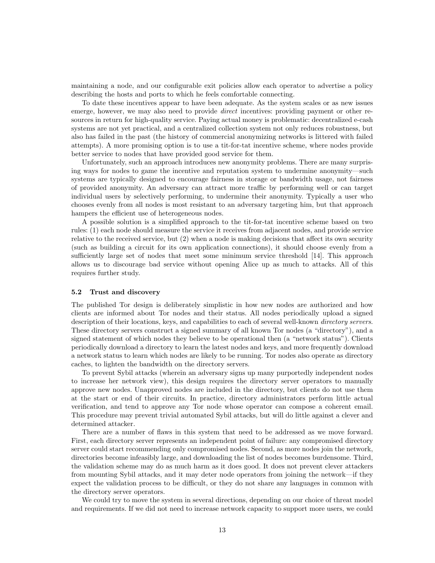maintaining a node, and our configurable exit policies allow each operator to advertise a policy describing the hosts and ports to which he feels comfortable connecting.

To date these incentives appear to have been adequate. As the system scales or as new issues emerge, however, we may also need to provide *direct* incentives: providing payment or other resources in return for high-quality service. Paying actual money is problematic: decentralized e-cash systems are not yet practical, and a centralized collection system not only reduces robustness, but also has failed in the past (the history of commercial anonymizing networks is littered with failed attempts). A more promising option is to use a tit-for-tat incentive scheme, where nodes provide better service to nodes that have provided good service for them.

Unfortunately, such an approach introduces new anonymity problems. There are many surprising ways for nodes to game the incentive and reputation system to undermine anonymity—such systems are typically designed to encourage fairness in storage or bandwidth usage, not fairness of provided anonymity. An adversary can attract more traffic by performing well or can target individual users by selectively performing, to undermine their anonymity. Typically a user who chooses evenly from all nodes is most resistant to an adversary targeting him, but that approach hampers the efficient use of heterogeneous nodes.

A possible solution is a simplified approach to the tit-for-tat incentive scheme based on two rules: (1) each node should measure the service it receives from adjacent nodes, and provide service relative to the received service, but (2) when a node is making decisions that affect its own security (such as building a circuit for its own application connections), it should choose evenly from a sufficiently large set of nodes that meet some minimum service threshold [14]. This approach allows us to discourage bad service without opening Alice up as much to attacks. All of this requires further study.

#### 5.2 Trust and discovery

The published Tor design is deliberately simplistic in how new nodes are authorized and how clients are informed about Tor nodes and their status. All nodes periodically upload a signed description of their locations, keys, and capabilities to each of several well-known directory servers. These directory servers construct a signed summary of all known Tor nodes (a "directory"), and a signed statement of which nodes they believe to be operational then (a "network status"). Clients periodically download a directory to learn the latest nodes and keys, and more frequently download a network status to learn which nodes are likely to be running. Tor nodes also operate as directory caches, to lighten the bandwidth on the directory servers.

To prevent Sybil attacks (wherein an adversary signs up many purportedly independent nodes to increase her network view), this design requires the directory server operators to manually approve new nodes. Unapproved nodes are included in the directory, but clients do not use them at the start or end of their circuits. In practice, directory administrators perform little actual verification, and tend to approve any Tor node whose operator can compose a coherent email. This procedure may prevent trivial automated Sybil attacks, but will do little against a clever and determined attacker.

There are a number of flaws in this system that need to be addressed as we move forward. First, each directory server represents an independent point of failure: any compromised directory server could start recommending only compromised nodes. Second, as more nodes join the network, directories become infeasibly large, and downloading the list of nodes becomes burdensome. Third, the validation scheme may do as much harm as it does good. It does not prevent clever attackers from mounting Sybil attacks, and it may deter node operators from joining the network—if they expect the validation process to be difficult, or they do not share any languages in common with the directory server operators.

We could try to move the system in several directions, depending on our choice of threat model and requirements. If we did not need to increase network capacity to support more users, we could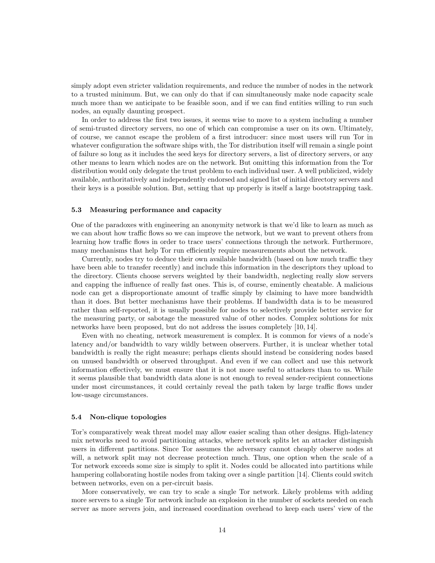simply adopt even stricter validation requirements, and reduce the number of nodes in the network to a trusted minimum. But, we can only do that if can simultaneously make node capacity scale much more than we anticipate to be feasible soon, and if we can find entities willing to run such nodes, an equally daunting prospect.

In order to address the first two issues, it seems wise to move to a system including a number of semi-trusted directory servers, no one of which can compromise a user on its own. Ultimately, of course, we cannot escape the problem of a first introducer: since most users will run Tor in whatever configuration the software ships with, the Tor distribution itself will remain a single point of failure so long as it includes the seed keys for directory servers, a list of directory servers, or any other means to learn which nodes are on the network. But omitting this information from the Tor distribution would only delegate the trust problem to each individual user. A well publicized, widely available, authoritatively and independently endorsed and signed list of initial directory servers and their keys is a possible solution. But, setting that up properly is itself a large bootstrapping task.

## 5.3 Measuring performance and capacity

One of the paradoxes with engineering an anonymity network is that we'd like to learn as much as we can about how traffic flows so we can improve the network, but we want to prevent others from learning how traffic flows in order to trace users' connections through the network. Furthermore, many mechanisms that help Tor run efficiently require measurements about the network.

Currently, nodes try to deduce their own available bandwidth (based on how much traffic they have been able to transfer recently) and include this information in the descriptors they upload to the directory. Clients choose servers weighted by their bandwidth, neglecting really slow servers and capping the influence of really fast ones. This is, of course, eminently cheatable. A malicious node can get a disproportionate amount of traffic simply by claiming to have more bandwidth than it does. But better mechanisms have their problems. If bandwidth data is to be measured rather than self-reported, it is usually possible for nodes to selectively provide better service for the measuring party, or sabotage the measured value of other nodes. Complex solutions for mix networks have been proposed, but do not address the issues completely [10, 14].

Even with no cheating, network measurement is complex. It is common for views of a node's latency and/or bandwidth to vary wildly between observers. Further, it is unclear whether total bandwidth is really the right measure; perhaps clients should instead be considering nodes based on unused bandwidth or observed throughput. And even if we can collect and use this network information effectively, we must ensure that it is not more useful to attackers than to us. While it seems plausible that bandwidth data alone is not enough to reveal sender-recipient connections under most circumstances, it could certainly reveal the path taken by large traffic flows under low-usage circumstances.

### 5.4 Non-clique topologies

Tor's comparatively weak threat model may allow easier scaling than other designs. High-latency mix networks need to avoid partitioning attacks, where network splits let an attacker distinguish users in different partitions. Since Tor assumes the adversary cannot cheaply observe nodes at will, a network split may not decrease protection much. Thus, one option when the scale of a Tor network exceeds some size is simply to split it. Nodes could be allocated into partitions while hampering collaborating hostile nodes from taking over a single partition [14]. Clients could switch between networks, even on a per-circuit basis.

More conservatively, we can try to scale a single Tor network. Likely problems with adding more servers to a single Tor network include an explosion in the number of sockets needed on each server as more servers join, and increased coordination overhead to keep each users' view of the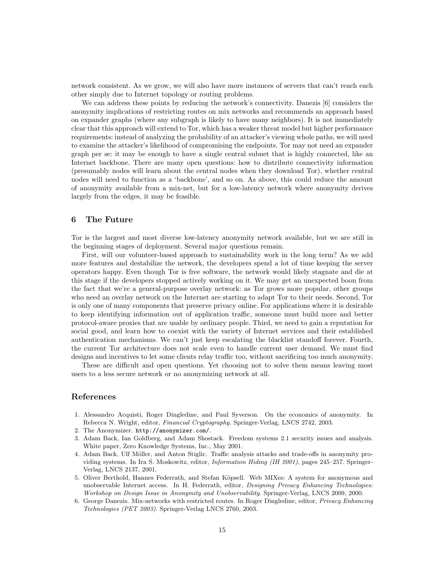network consistent. As we grow, we will also have more instances of servers that can't reach each other simply due to Internet topology or routing problems.

We can address these points by reducing the network's connectivity. Danezis [6] considers the anonymity implications of restricting routes on mix networks and recommends an approach based on expander graphs (where any subgraph is likely to have many neighbors). It is not immediately clear that this approach will extend to Tor, which has a weaker threat model but higher performance requirements: instead of analyzing the probability of an attacker's viewing whole paths, we will need to examine the attacker's likelihood of compromising the endpoints. Tor may not need an expander graph per se: it may be enough to have a single central subnet that is highly connected, like an Internet backbone. There are many open questions: how to distribute connectivity information (presumably nodes will learn about the central nodes when they download Tor), whether central nodes will need to function as a 'backbone', and so on. As above, this could reduce the amount of anonymity available from a mix-net, but for a low-latency network where anonymity derives largely from the edges, it may be feasible.

# 6 The Future

Tor is the largest and most diverse low-latency anonymity network available, but we are still in the beginning stages of deployment. Several major questions remain.

First, will our volunteer-based approach to sustainability work in the long term? As we add more features and destabilize the network, the developers spend a lot of time keeping the server operators happy. Even though Tor is free software, the network would likely stagnate and die at this stage if the developers stopped actively working on it. We may get an unexpected boon from the fact that we're a general-purpose overlay network: as Tor grows more popular, other groups who need an overlay network on the Internet are starting to adapt Tor to their needs. Second, Tor is only one of many components that preserve privacy online. For applications where it is desirable to keep identifying information out of application traffic, someone must build more and better protocol-aware proxies that are usable by ordinary people. Third, we need to gain a reputation for social good, and learn how to coexist with the variety of Internet services and their established authentication mechanisms. We can't just keep escalating the blacklist standoff forever. Fourth, the current Tor architecture does not scale even to handle current user demand. We must find designs and incentives to let some clients relay traffic too, without sacrificing too much anonymity.

These are difficult and open questions. Yet choosing not to solve them means leaving most users to a less secure network or no anonymizing network at all.

# References

- 1. Alessandro Acquisti, Roger Dingledine, and Paul Syverson. On the economics of anonymity. In Rebecca N. Wright, editor, Financial Cryptography. Springer-Verlag, LNCS 2742, 2003.
- 2. The Anonymizer. http://anonymizer.com/.
- 3. Adam Back, Ian Goldberg, and Adam Shostack. Freedom systems 2.1 security issues and analysis. White paper, Zero Knowledge Systems, Inc., May 2001.
- 4. Adam Back, Ulf Möller, and Anton Stiglic. Traffic analysis attacks and trade-offs in anonymity providing systems. In Ira S. Moskowitz, editor, Information Hiding (IH 2001), pages 245–257. Springer-Verlag, LNCS 2137, 2001.
- 5. Oliver Berthold, Hannes Federrath, and Stefan Köpsell. Web MIXes: A system for anonymous and unobservable Internet access. In H. Federrath, editor, Designing Privacy Enhancing Technologies: Workshop on Design Issue in Anonymity and Unobservability. Springer-Verlag, LNCS 2009, 2000.
- 6. George Danezis. Mix-networks with restricted routes. In Roger Dingledine, editor, Privacy Enhancing Technologies (PET 2003). Springer-Verlag LNCS 2760, 2003.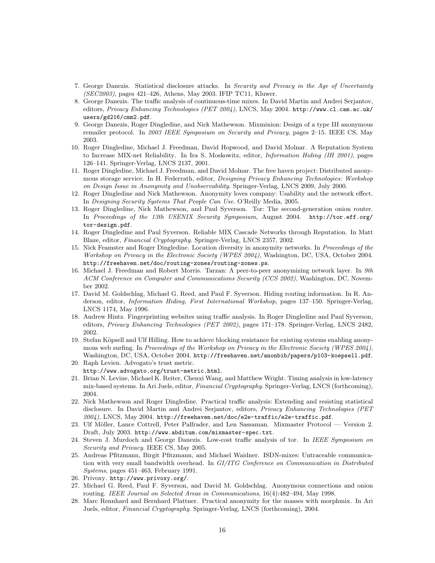- 7. George Danezis. Statistical disclosure attacks. In Security and Privacy in the Age of Uncertainty  $(SEC2003)$ , pages 421–426, Athens, May 2003. IFIP TC11, Kluwer.
- 8. George Danezis. The traffic analysis of continuous-time mixes. In David Martin and Andrei Serjantov, editors, Privacy Enhancing Technologies (PET 2004), LNCS, May 2004. http://www.cl.cam.ac.uk/ users/gd216/cmm2.pdf.
- 9. George Danezis, Roger Dingledine, and Nick Mathewson. Mixminion: Design of a type III anonymous remailer protocol. In 2003 IEEE Symposium on Security and Privacy, pages 2-15. IEEE CS, May 2003.
- 10. Roger Dingledine, Michael J. Freedman, David Hopwood, and David Molnar. A Reputation System to Increase MIX-net Reliability. In Ira S. Moskowitz, editor, Information Hiding (IH 2001), pages 126–141. Springer-Verlag, LNCS 2137, 2001.
- 11. Roger Dingledine, Michael J. Freedman, and David Molnar. The free haven project: Distributed anonymous storage service. In H. Federrath, editor, Designing Privacy Enhancing Technologies: Workshop on Design Issue in Anonymity and Unobservability. Springer-Verlag, LNCS 2009, July 2000.
- 12. Roger Dingledine and Nick Mathewson. Anonymity loves company: Usability and the network effect. In Designing Security Systems That People Can Use. O'Reilly Media, 2005.
- 13. Roger Dingledine, Nick Mathewson, and Paul Syverson. Tor: The second-generation onion router. In Proceedings of the 13th USENIX Security Symposium, August 2004. http://tor.eff.org/ tor-design.pdf.
- 14. Roger Dingledine and Paul Syverson. Reliable MIX Cascade Networks through Reputation. In Matt Blaze, editor, Financial Cryptography. Springer-Verlag, LNCS 2357, 2002.
- 15. Nick Feamster and Roger Dingledine. Location diversity in anonymity networks. In Proceedings of the Workshop on Privacy in the Electronic Society (WPES 2004), Washington, DC, USA, October 2004. http://freehaven.net/doc/routing-zones/routing-zones.ps.
- 16. Michael J. Freedman and Robert Morris. Tarzan: A peer-to-peer anonymizing network layer. In 9th ACM Conference on Computer and Communications Security (CCS 2002), Washington, DC, November 2002.
- 17. David M. Goldschlag, Michael G. Reed, and Paul F. Syverson. Hiding routing information. In R. Anderson, editor, Information Hiding, First International Workshop, pages 137–150. Springer-Verlag, LNCS 1174, May 1996.
- 18. Andrew Hintz. Fingerprinting websites using traffic analysis. In Roger Dingledine and Paul Syverson, editors, Privacy Enhancing Technologies (PET 2002), pages 171–178. Springer-Verlag, LNCS 2482, 2002.
- 19. Stefan Köpsell and Ulf Hilling. How to achieve blocking resistance for existing systems enabling anonymous web surfing. In Proceedings of the Workshop on Privacy in the Electronic Society (WPES 2004), Washington, DC, USA, October 2004. http://freehaven.net/anonbib/papers/p103-koepsell.pdf.
- 20. Raph Levien. Advogato's trust metric. http://www.advogato.org/trust-metric.html.
- 21. Brian N. Levine, Michael K. Reiter, Chenxi Wang, and Matthew Wright. Timing analysis in low-latency mix-based systems. In Ari Juels, editor, Financial Cryptography. Springer-Verlag, LNCS (forthcoming), 2004.
- 22. Nick Mathewson and Roger Dingledine. Practical traffic analysis: Extending and resisting statistical disclosure. In David Martin and Andrei Serjantov, editors, Privacy Enhancing Technologies (PET 2004), LNCS, May 2004. http://freehaven.net/doc/e2e-traffic/e2e-traffic.pdf.
- 23. Ulf Möller, Lance Cottrell, Peter Palfrader, and Len Sassaman. Mixmaster Protocol Version 2. Draft, July 2003. http://www.abditum.com/mixmaster-spec.txt.
- 24. Steven J. Murdoch and George Danezis. Low-cost traffic analysis of tor. In IEEE Symposium on Security and Privacy. IEEE CS, May 2005.
- 25. Andreas Pfitzmann, Birgit Pfitzmann, and Michael Waidner. ISDN-mixes: Untraceable communication with very small bandwidth overhead. In GI/ITG Conference on Communication in Distributed Systems, pages 451–463, February 1991.
- 26. Privoxy. http://www.privoxy.org/.
- 27. Michael G. Reed, Paul F. Syverson, and David M. Goldschlag. Anonymous connections and onion routing. IEEE Journal on Selected Areas in Communications, 16(4):482–494, May 1998.
- 28. Marc Rennhard and Bernhard Plattner. Practical anonymity for the masses with morphmix. In Ari Juels, editor, Financial Cryptography. Springer-Verlag, LNCS (forthcoming), 2004.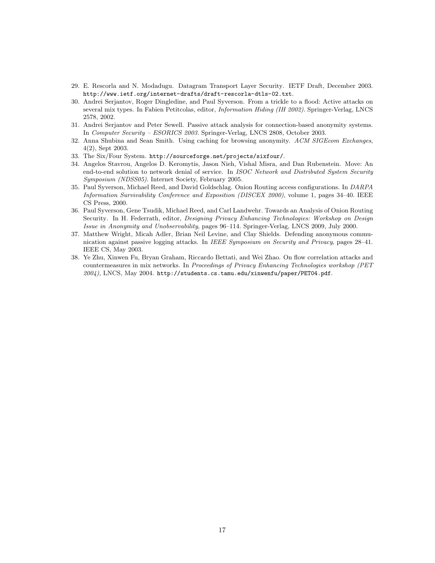- 29. E. Rescorla and N. Modadugu. Datagram Transport Layer Security. IETF Draft, December 2003. http://www.ietf.org/internet-drafts/draft-rescorla-dtls-02.txt.
- 30. Andrei Serjantov, Roger Dingledine, and Paul Syverson. From a trickle to a flood: Active attacks on several mix types. In Fabien Petitcolas, editor, *Information Hiding (IH 2002)*. Springer-Verlag, LNCS 2578, 2002.
- 31. Andrei Serjantov and Peter Sewell. Passive attack analysis for connection-based anonymity systems. In Computer Security – ESORICS 2003. Springer-Verlag, LNCS 2808, October 2003.
- 32. Anna Shubina and Sean Smith. Using caching for browsing anonymity. ACM SIGEcom Exchanges, 4(2), Sept 2003.
- 33. The Six/Four System. http://sourceforge.net/projects/sixfour/.
- 34. Angelos Stavrou, Angelos D. Keromytis, Jason Nieh, Vishal Misra, and Dan Rubenstein. Move: An end-to-end solution to network denial of service. In ISOC Network and Distributed System Security Symposium (NDSS05). Internet Society, February 2005.
- 35. Paul Syverson, Michael Reed, and David Goldschlag. Onion Routing access configurations. In DARPA Information Survivability Conference and Exposition (DISCEX 2000), volume 1, pages 34–40. IEEE CS Press, 2000.
- 36. Paul Syverson, Gene Tsudik, Michael Reed, and Carl Landwehr. Towards an Analysis of Onion Routing Security. In H. Federrath, editor, Designing Privacy Enhancing Technologies: Workshop on Design Issue in Anonymity and Unobservability, pages 96–114. Springer-Verlag, LNCS 2009, July 2000.
- 37. Matthew Wright, Micah Adler, Brian Neil Levine, and Clay Shields. Defending anonymous communication against passive logging attacks. In IEEE Symposium on Security and Privacy, pages 28–41. IEEE CS, May 2003.
- 38. Ye Zhu, Xinwen Fu, Bryan Graham, Riccardo Bettati, and Wei Zhao. On flow correlation attacks and countermeasures in mix networks. In Proceedings of Privacy Enhancing Technologies workshop (PET 2004), LNCS, May 2004. http://students.cs.tamu.edu/xinwenfu/paper/PET04.pdf.